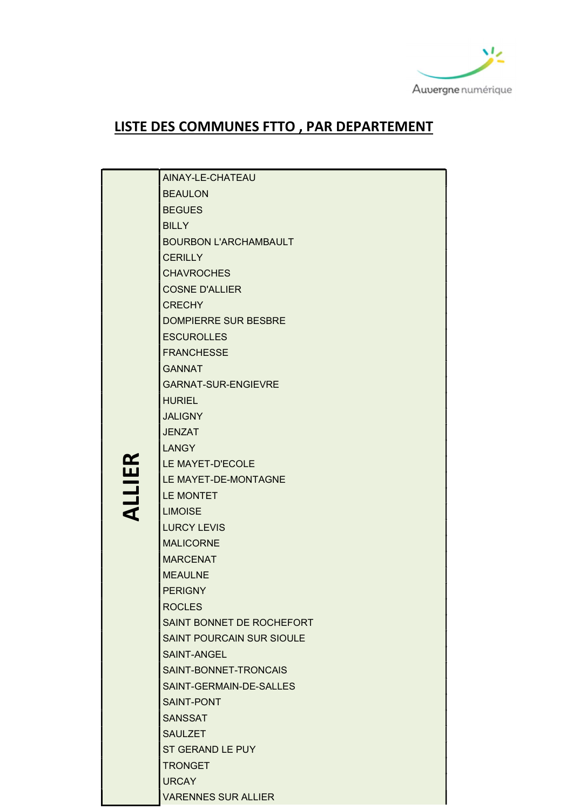

## LISTE DES COMMUNES FTTO , PAR DEPARTEMENT

|               | AINAY-LE-CHATEAU             |
|---------------|------------------------------|
|               | <b>BEAULON</b>               |
|               | <b>BEGUES</b>                |
|               | <b>BILLY</b>                 |
|               | <b>BOURBON L'ARCHAMBAULT</b> |
|               | <b>CERILLY</b>               |
|               | <b>CHAVROCHES</b>            |
|               | <b>COSNE D'ALLIER</b>        |
|               | <b>CRECHY</b>                |
|               | <b>DOMPIERRE SUR BESBRE</b>  |
|               | <b>ESCUROLLES</b>            |
|               | <b>FRANCHESSE</b>            |
|               | <b>GANNAT</b>                |
|               | <b>GARNAT-SUR-ENGIEVRE</b>   |
|               | <b>HURIEL</b>                |
|               | <b>JALIGNY</b>               |
|               | <b>JENZAT</b>                |
|               | <b>LANGY</b>                 |
| <b>ALLIER</b> | LE MAYET-D'ECOLE             |
|               | LE MAYET-DE-MONTAGNE         |
|               | LE MONTET                    |
|               | <b>LIMOISE</b>               |
|               | <b>LURCY LEVIS</b>           |
|               | <b>MALICORNE</b>             |
|               | <b>MARCENAT</b>              |
|               | <b>MEAULNE</b>               |
|               | <b>PERIGNY</b>               |
|               | <b>ROCLES</b>                |
|               | SAINT BONNET DE ROCHEFORT    |
|               | SAINT POURCAIN SUR SIOULE    |
|               | SAINT-ANGEL                  |
|               | SAINT-BONNET-TRONCAIS        |
|               | SAINT-GERMAIN-DE-SALLES      |
|               | <b>SAINT-PONT</b>            |
|               | <b>SANSSAT</b>               |
|               | <b>SAULZET</b>               |
|               | ST GERAND LE PUY             |
|               | <b>TRONGET</b>               |
|               | <b>URCAY</b>                 |
|               | <b>VARENNES SUR ALLIER</b>   |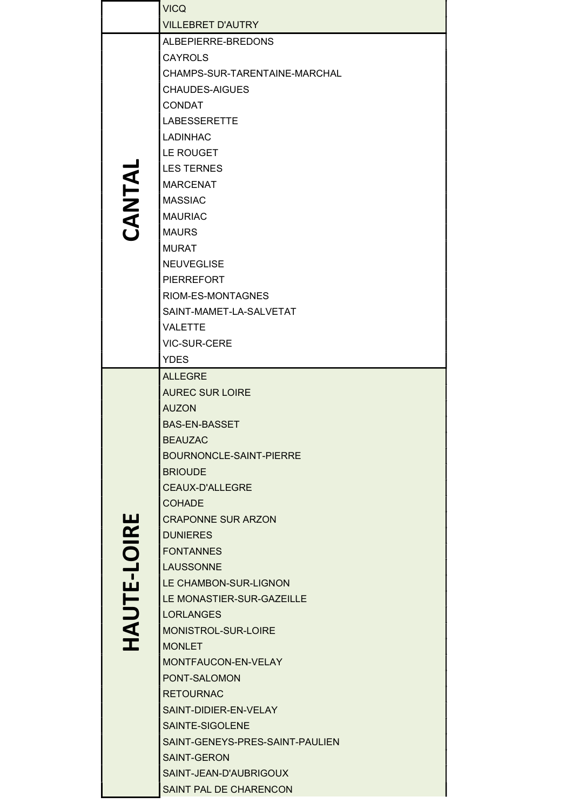|             | <b>VICQ</b>                     |
|-------------|---------------------------------|
|             | <b>VILLEBRET D'AUTRY</b>        |
|             | ALBEPIERRE-BREDONS              |
|             | <b>CAYROLS</b>                  |
|             | CHAMPS-SUR-TARENTAINE-MARCHAL   |
|             | <b>CHAUDES-AIGUES</b>           |
|             | <b>CONDAT</b>                   |
|             | <b>LABESSERETTE</b>             |
|             | <b>LADINHAC</b>                 |
|             | LE ROUGET                       |
|             | <b>LES TERNES</b>               |
| CANTAL      | <b>MARCENAT</b>                 |
|             | <b>MASSIAC</b>                  |
|             | <b>MAURIAC</b>                  |
|             | <b>MAURS</b>                    |
|             | <b>MURAT</b>                    |
|             | <b>NEUVEGLISE</b>               |
|             | <b>PIERREFORT</b>               |
|             | RIOM-ES-MONTAGNES               |
|             | SAINT-MAMET-LA-SALVETAT         |
|             | <b>VALETTE</b>                  |
|             | <b>VIC-SUR-CERE</b>             |
|             | <b>YDES</b>                     |
|             | <b>ALLEGRE</b>                  |
|             | <b>AUREC SUR LOIRE</b>          |
|             | <b>AUZON</b>                    |
|             | <b>BAS-EN-BASSET</b>            |
|             | <b>BEAUZAC</b>                  |
|             | BOURNONCLE-SAINT-PIERRE         |
|             | <b>BRIOUDE</b>                  |
|             | <b>CEAUX-D'ALLEGRE</b>          |
|             | COHADE                          |
|             | <b>CRAPONNE SUR ARZON</b>       |
|             | <b>DUNIERES</b>                 |
|             | <b>FONTANNES</b>                |
|             | <b>LAUSSONNE</b>                |
| HAUTE-LOIRE | LE CHAMBON-SUR-LIGNON           |
|             | LE MONASTIER-SUR-GAZEILLE       |
|             | <b>LORLANGES</b>                |
|             | MONISTROL-SUR-LOIRE             |
|             | <b>MONLET</b>                   |
|             | MONTFAUCON-EN-VELAY             |
|             | PONT-SALOMON                    |
|             | <b>RETOURNAC</b>                |
|             | SAINT-DIDIER-EN-VELAY           |
|             | SAINTE-SIGOLENE                 |
|             | SAINT-GENEYS-PRES-SAINT-PAULIEN |
|             | <b>SAINT-GERON</b>              |
|             | SAINT-JEAN-D'AUBRIGOUX          |
|             | SAINT PAL DE CHARENCON          |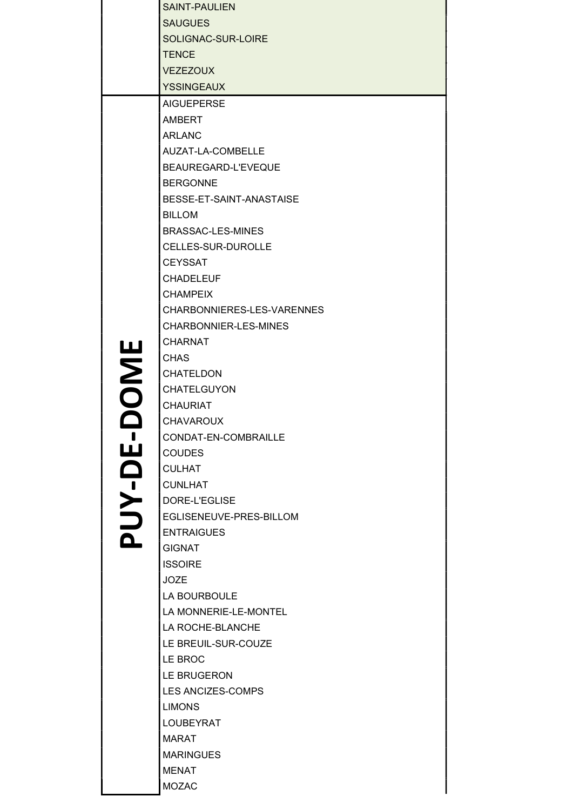|        | <b>SAINT-PAULIEN</b>       |
|--------|----------------------------|
|        | <b>SAUGUES</b>             |
|        | SOLIGNAC-SUR-LOIRE         |
|        | <b>TENCE</b>               |
|        | <b>VEZEZOUX</b>            |
|        | <b>YSSINGEAUX</b>          |
|        | <b>AIGUEPERSE</b>          |
|        | AMBERT                     |
|        | <b>ARLANC</b>              |
|        | AUZAT-LA-COMBELLE          |
|        | BEAUREGARD-L'EVEQUE        |
|        | <b>BERGONNE</b>            |
|        | BESSE-ET-SAINT-ANASTAISE   |
|        | <b>BILLOM</b>              |
|        | BRASSAC-LES-MINES          |
|        | CELLES-SUR-DUROLLE         |
|        | <b>CEYSSAT</b>             |
|        | <b>CHADELEUF</b>           |
|        | <b>CHAMPEIX</b>            |
|        | CHARBONNIERES-LES-VARENNES |
|        | CHARBONNIER-LES-MINES      |
|        | <b>CHARNAT</b>             |
|        | <b>CHAS</b>                |
|        | <b>CHATELDON</b>           |
|        | CHATELGUYON                |
| DOME   | <b>CHAURIAT</b>            |
|        | <b>CHAVAROUX</b>           |
|        | CONDAT-EN-COMBRAILLE       |
| PUY-DE | <b>COUDES</b>              |
|        | <b>CULHAT</b>              |
|        | <b>CUNLHAT</b>             |
|        | DORE-L'EGLISE              |
|        | EGLISENEUVE-PRES-BILLOM    |
|        | <b>ENTRAIGUES</b>          |
|        | <b>GIGNAT</b>              |
|        | <b>ISSOIRE</b>             |
|        | <b>JOZE</b>                |
|        | LA BOURBOULE               |
|        | LA MONNERIE-LE-MONTEL      |
|        | LA ROCHE-BLANCHE           |
|        | LE BREUIL-SUR-COUZE        |
|        | LE BROC                    |
|        | LE BRUGERON                |
|        | <b>LES ANCIZES-COMPS</b>   |
|        | <b>LIMONS</b>              |
|        | <b>LOUBEYRAT</b>           |
|        | <b>MARAT</b>               |
|        | <b>MARINGUES</b>           |
|        | <b>MENAT</b>               |
|        | <b>MOZAC</b>               |
|        |                            |